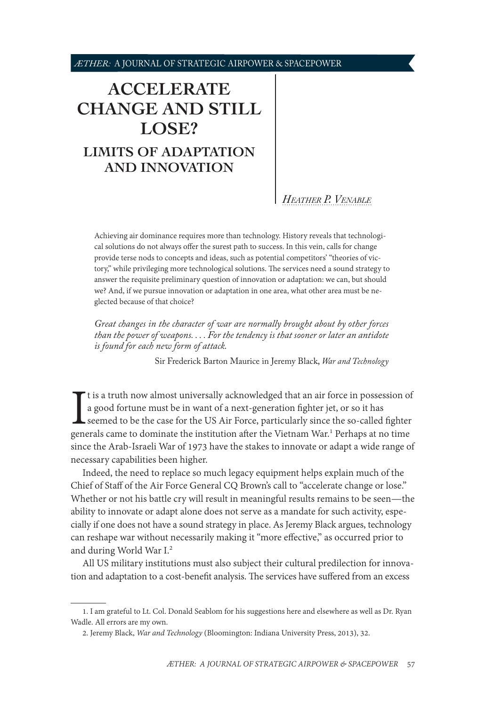# <span id="page-0-0"></span>**[ACCELERATE](#page-1-0)  [CHANGE AND STILL](#page-1-0)  [LOSE?](#page-1-0) [LIMITS OF ADAPTATION](#page-1-0)  [AND INNOVATION](#page-1-0)**

*[Heather P. Venable](#page-13-0)*

Achieving air dominance requires more than technology. History reveals that technological solutions do not always offer the surest path to success. In this vein, calls for change provide terse nods to concepts and ideas, such as potential competitors' "theories of victory," while privileging more technological solutions. The services need a sound strategy to answer the requisite preliminary question of innovation or adaptation: we can, but should we? And, if we pursue innovation or adaptation in one area, what other area must be neglected because of that choice?

*Great changes in the character of war are normally brought about by other forces than the power of weapons. . . . For the tendency is that sooner or later an antidote is found for each new form of attack.*

Sir Frederick Barton Maurice in Jeremy Black, *War and Technology*

It is a truth now almost universally acknowledged that an air force in possession of a good fortune must be in want of a next-generation fighter jet, or so it has seemed to be the case for the US Air Force, particularly si t is a truth now almost universally acknowledged that an air force in possession of a good fortune must be in want of a next-generation fighter jet, or so it has seemed to be the case for the US Air Force, particularly since the so-called fighter since the Arab-Israeli War of 1973 have the stakes to innovate or adapt a wide range of necessary capabilities been higher.

Indeed, the need to replace so much legacy equipment helps explain much of the Chief of Staff of the Air Force General CQ Brown's call to "accelerate change or lose." Whether or not his battle cry will result in meaningful results remains to be seen—the ability to innovate or adapt alone does not serve as a mandate for such activity, especially if one does not have a sound strategy in place. As Jeremy Black argues, technology can reshape war without necessarily making it "more effective," as occurred prior to and during World War I.2

All US military institutions must also subject their cultural predilection for innovation and adaptation to a cost-benefit analysis. The services have suffered from an excess

<sup>1.</sup> I am grateful to Lt. Col. Donald Seablom for his suggestions here and elsewhere as well as Dr. Ryan Wadle. All errors are my own.

<sup>2.</sup> Jeremy Black, *War and Technology* (Bloomington: Indiana University Press, 2013), 32.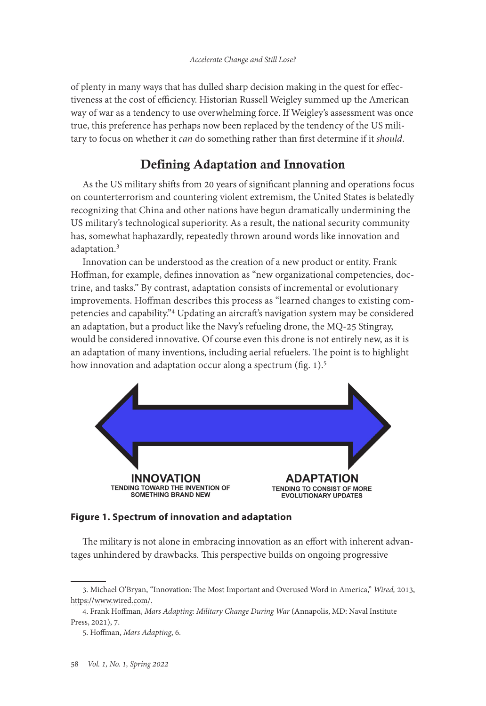<span id="page-1-0"></span>of plenty in many ways that has dulled sharp decision making in the quest for effectiveness at the cost of efficiency. Historian Russell Weigley summed up the American way of war as a tendency to use overwhelming force. If Weigley's assessment was once true, this preference has perhaps now been replaced by the tendency of the US military to focus on whether it *can* do something rather than first determine if it *should*.

## Defining Adaptation and Innovation

As the US military shifts from 20 years of significant planning and operations focus on counterterrorism and countering violent extremism, the United States is belatedly recognizing that China and other nations have begun dramatically undermining the US military's technological superiority. As a result, the national security community has, somewhat haphazardly, repeatedly thrown around words like innovation and adaptation.<sup>3</sup>

Innovation can be understood as the creation of a new product or entity. Frank Hoffman, for example, defines innovation as "new organizational competencies, doctrine, and tasks." By contrast, adaptation consists of incremental or evolutionary improvements. Hoffman describes this process as "learned changes to existing competencies and capability."4 Updating an aircraft's navigation system may be considered an adaptation, but a product like the Navy's refueling drone, the MQ-25 Stingray, would be considered innovative. Of course even this drone is not entirely new, as it is an adaptation of many inventions, including aerial refuelers. The point is to highlight how innovation and adaptation occur along a spectrum (fig. 1).<sup>5</sup>



### **Figure 1. Spectrum of innovation and adaptation**

The military is not alone in embracing innovation as an effort with inherent advantages unhindered by drawbacks. This perspective builds on ongoing progressive

<sup>3.</sup> Michael O'Bryan, "Innovation: The Most Important and Overused Word in America," *Wired,* 2013, [https://www.wired.com/](https://www.wired.com/insights/2013/11/innovation-the-most-important-and-overused-word-in-america/).

<sup>4.</sup> Frank Hoffman, *Mars Adapting: Military Change During War* (Annapolis, MD: Naval Institute Press, 2021), 7.

<sup>5.</sup> Hoffman, *Mars Adapting*, 6.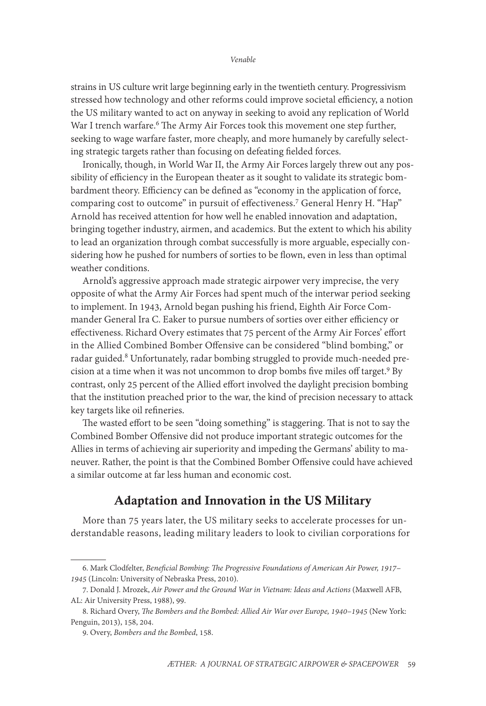strains in US culture writ large beginning early in the twentieth century. Progressivism stressed how technology and other reforms could improve societal efficiency, a notion the US military wanted to act on anyway in seeking to avoid any replication of World War I trench warfare.<sup>6</sup> The Army Air Forces took this movement one step further, seeking to wage warfare faster, more cheaply, and more humanely by carefully selecting strategic targets rather than focusing on defeating fielded forces.

Ironically, though, in World War II, the Army Air Forces largely threw out any possibility of efficiency in the European theater as it sought to validate its strategic bombardment theory. Efficiency can be defined as "economy in the application of force, comparing cost to outcome" in pursuit of effectiveness.<sup>7</sup> General Henry H. "Hap" Arnold has received attention for how well he enabled innovation and adaptation, bringing together industry, airmen, and academics. But the extent to which his ability to lead an organization through combat successfully is more arguable, especially considering how he pushed for numbers of sorties to be flown, even in less than optimal weather conditions.

Arnold's aggressive approach made strategic airpower very imprecise, the very opposite of what the Army Air Forces had spent much of the interwar period seeking to implement. In 1943, Arnold began pushing his friend, Eighth Air Force Commander General Ira C. Eaker to pursue numbers of sorties over either efficiency or effectiveness. Richard Overy estimates that 75 percent of the Army Air Forces' effort in the Allied Combined Bomber Offensive can be considered "blind bombing," or radar guided.<sup>8</sup> Unfortunately, radar bombing struggled to provide much-needed precision at a time when it was not uncommon to drop bombs five miles off target.<sup>9</sup> By contrast, only 25 percent of the Allied effort involved the daylight precision bombing that the institution preached prior to the war, the kind of precision necessary to attack key targets like oil refineries.

The wasted effort to be seen "doing something" is staggering. That is not to say the Combined Bomber Offensive did not produce important strategic outcomes for the Allies in terms of achieving air superiority and impeding the Germans' ability to maneuver. Rather, the point is that the Combined Bomber Offensive could have achieved a similar outcome at far less human and economic cost.

### Adaptation and Innovation in the US Military

More than 75 years later, the US military seeks to accelerate processes for understandable reasons, leading military leaders to look to civilian corporations for

<sup>6.</sup> Mark Clodfelter, *Beneficial Bombing: The Progressive Foundations of American Air Power, 1917– 1945* (Lincoln: University of Nebraska Press, 2010).

<sup>7.</sup> Donald J. Mrozek, *Air Power and the Ground War in Vietnam: Ideas and Actions* (Maxwell AFB, AL: Air University Press, 1988), 99.

<sup>8.</sup> Richard Overy, *The Bombers and the Bombed: Allied Air War over Europe, 1940–1945* (New York: Penguin, 2013), 158, 204.

<sup>9.</sup> Overy, *Bombers and the Bombed*, 158.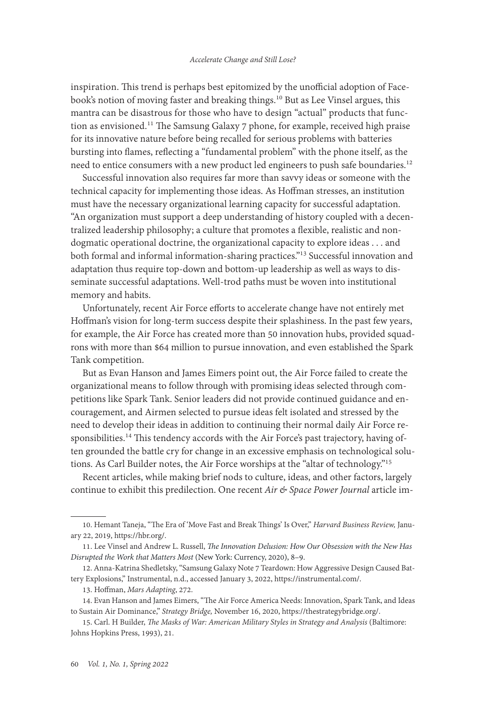inspiration. This trend is perhaps best epitomized by the unofficial adoption of Facebook's notion of moving faster and breaking things.<sup>10</sup> But as Lee Vinsel argues, this mantra can be disastrous for those who have to design "actual" products that function as envisioned.<sup>11</sup> The Samsung Galaxy 7 phone, for example, received high praise for its innovative nature before being recalled for serious problems with batteries bursting into flames, reflecting a "fundamental problem" with the phone itself, as the need to entice consumers with a new product led engineers to push safe boundaries.<sup>12</sup>

Successful innovation also requires far more than savvy ideas or someone with the technical capacity for implementing those ideas. As Hoffman stresses, an institution must have the necessary organizational learning capacity for successful adaptation. "An organization must support a deep understanding of history coupled with a decentralized leadership philosophy; a culture that promotes a flexible, realistic and nondogmatic operational doctrine, the organizational capacity to explore ideas . . . and both formal and informal information-sharing practices."13 Successful innovation and adaptation thus require top-down and bottom-up leadership as well as ways to disseminate successful adaptations. Well-trod paths must be woven into institutional memory and habits.

Unfortunately, recent Air Force efforts to accelerate change have not entirely met Hoffman's vision for long-term success despite their splashiness. In the past few years, for example, the Air Force has created more than 50 innovation hubs, provided squadrons with more than \$64 million to pursue innovation, and even established the Spark Tank competition.

But as Evan Hanson and James Eimers point out, the Air Force failed to create the organizational means to follow through with promising ideas selected through competitions like Spark Tank. Senior leaders did not provide continued guidance and encouragement, and Airmen selected to pursue ideas felt isolated and stressed by the need to develop their ideas in addition to continuing their normal daily Air Force responsibilities.<sup>14</sup> This tendency accords with the Air Force's past trajectory, having often grounded the battle cry for change in an excessive emphasis on technological solutions. As Carl Builder notes, the Air Force worships at the "altar of technology."15

Recent articles, while making brief nods to culture, ideas, and other factors, largely continue to exhibit this predilection. One recent *Air & Space Power Journal* article im-

<sup>10.</sup> Hemant Taneja, "The Era of 'Move Fast and Break Things' Is Over," *Harvard Business Review,* January 22, 2019, [https://hbr.org/.](https://hbr.org/2019/01/the-era-of-move-fast-and-break-things-is-over)

<sup>11.</sup> Lee Vinsel and Andrew L. Russell, *The Innovation Delusion: How Our Obsession with the New Has Disrupted the Work that Matters Most* (New York: Currency, 2020), 8–9.

<sup>12.</sup> Anna-Katrina Shedletsky, "Samsung Galaxy Note 7 Teardown: How Aggressive Design Caused Battery Explosions," Instrumental, n.d., accessed January 3, 2022, <https://instrumental.com/>.

<sup>13.</sup> Hoffman, *Mars Adapting*, 272.

<sup>14.</sup> Evan Hanson and James Eimers, "The Air Force America Needs: Innovation, Spark Tank, and Ideas to Sustain Air Dominance," *Strategy Bridge,* November 16, 2020, [https://thestrategybridge.org/.](https://thestrategybridge.org/the-bridge/2020/11/16/the-air-force-america-needs-innovation-spark-tank-and-ideas-to-sustain-air-force-dominance)

<sup>15.</sup> Carl. H Builder, *The Masks of War: American Military Styles in Strategy and Analysis* (Baltimore: Johns Hopkins Press, 1993), 21.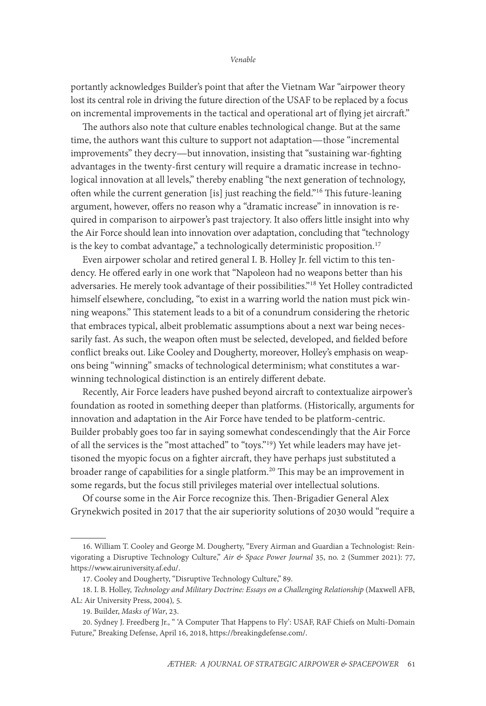portantly acknowledges Builder's point that after the Vietnam War "airpower theory lost its central role in driving the future direction of the USAF to be replaced by a focus on incremental improvements in the tactical and operational art of flying jet aircraft."

The authors also note that culture enables technological change. But at the same time, the authors want this culture to support not adaptation—those "incremental improvements" they decry—but innovation, insisting that "sustaining war-fighting advantages in the twenty-first century will require a dramatic increase in technological innovation at all levels," thereby enabling "the next generation of technology, often while the current generation [is] just reaching the field."16 This future-leaning argument, however, offers no reason why a "dramatic increase" in innovation is required in comparison to airpower's past trajectory. It also offers little insight into why the Air Force should lean into innovation over adaptation, concluding that "technology is the key to combat advantage," a technologically deterministic proposition.<sup>17</sup>

Even airpower scholar and retired general I. B. Holley Jr. fell victim to this tendency. He offered early in one work that "Napoleon had no weapons better than his adversaries. He merely took advantage of their possibilities."18 Yet Holley contradicted himself elsewhere, concluding, "to exist in a warring world the nation must pick winning weapons." This statement leads to a bit of a conundrum considering the rhetoric that embraces typical, albeit problematic assumptions about a next war being necessarily fast. As such, the weapon often must be selected, developed, and fielded before conflict breaks out. Like Cooley and Dougherty, moreover, Holley's emphasis on weapons being "winning" smacks of technological determinism; what constitutes a warwinning technological distinction is an entirely different debate.

Recently, Air Force leaders have pushed beyond aircraft to contextualize airpower's foundation as rooted in something deeper than platforms. (Historically, arguments for innovation and adaptation in the Air Force have tended to be platform-centric. Builder probably goes too far in saying somewhat condescendingly that the Air Force of all the services is the "most attached" to "toys."19) Yet while leaders may have jettisoned the myopic focus on a fighter aircraft, they have perhaps just substituted a broader range of capabilities for a single platform.<sup>20</sup> This may be an improvement in some regards, but the focus still privileges material over intellectual solutions.

Of course some in the Air Force recognize this. Then-Brigadier General Alex Grynekwich posited in 2017 that the air superiority solutions of 2030 would "require a

<sup>16.</sup> William T. Cooley and George M. Dougherty, "Every Airman and Guardian a Technologist: Reinvigorating a Disruptive Technology Culture," *Air & Space Power Journal* 35, no. 2 (Summer 2021): 77, [https://www.airuniversity.af.edu/.](https://www.airuniversity.af.edu/Portals/10/ASPJ/journals/Volume-35_Issue-2/V-Cooley_Dougherty.pdf)

<sup>17.</sup> Cooley and Dougherty, "Disruptive Technology Culture," 89.

<sup>18.</sup> I. B. Holley, *Technology and Military Doctrine: Essays on a Challenging Relationship* (Maxwell AFB, AL: Air University Press, 2004)*,* 5.

<sup>19.</sup> Builder, *Masks of War*, 23.

<sup>20.</sup> Sydney J. Freedberg Jr., " 'A Computer That Happens to Fly': USAF, RAF Chiefs on Multi-Domain Future," Breaking Defense, April 16, 2018, [https://breakingdefense.com/](https://breakingdefense.com/2018/04/a-computer-that-happens-to-fly-usaf-raf-chiefs-on-multi-domain-future/).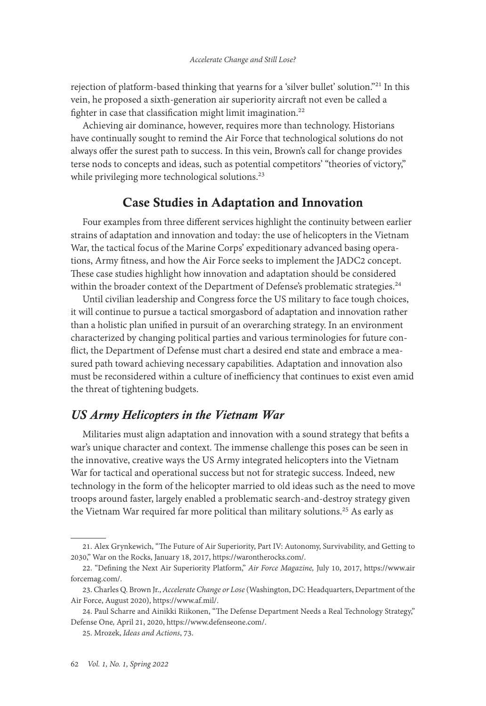rejection of platform-based thinking that yearns for a 'silver bullet' solution."21 In this vein, he proposed a sixth-generation air superiority aircraft not even be called a fighter in case that classification might limit imagination.<sup>22</sup>

Achieving air dominance, however, requires more than technology. Historians have continually sought to remind the Air Force that technological solutions do not always offer the surest path to success. In this vein, Brown's call for change provides terse nods to concepts and ideas, such as potential competitors' "theories of victory," while privileging more technological solutions.<sup>23</sup>

### Case Studies in Adaptation and Innovation

Four examples from three different services highlight the continuity between earlier strains of adaptation and innovation and today: the use of helicopters in the Vietnam War, the tactical focus of the Marine Corps' expeditionary advanced basing operations, Army fitness, and how the Air Force seeks to implement the JADC2 concept. These case studies highlight how innovation and adaptation should be considered within the broader context of the Department of Defense's problematic strategies.<sup>24</sup>

Until civilian leadership and Congress force the US military to face tough choices, it will continue to pursue a tactical smorgasbord of adaptation and innovation rather than a holistic plan unified in pursuit of an overarching strategy. In an environment characterized by changing political parties and various terminologies for future conflict, the Department of Defense must chart a desired end state and embrace a measured path toward achieving necessary capabilities. Adaptation and innovation also must be reconsidered within a culture of inefficiency that continues to exist even amid the threat of tightening budgets.

### *US Army Helicopters in the Vietnam War*

Militaries must align adaptation and innovation with a sound strategy that befits a war's unique character and context. The immense challenge this poses can be seen in the innovative, creative ways the US Army integrated helicopters into the Vietnam War for tactical and operational success but not for strategic success. Indeed, new technology in the form of the helicopter married to old ideas such as the need to move troops around faster, largely enabled a problematic search-and-destroy strategy given the Vietnam War required far more political than military solutions.<sup>25</sup> As early as

<sup>21.</sup> Alex Grynkewich, "The Future of Air Superiority, Part IV: Autonomy, Survivability, and Getting to 2030," War on the Rocks, January 18, 2017, [https://warontherocks.com/.](https://warontherocks.com/2017/01/the-future-of-air-superiority-part-iv-autonomy-survivability-and-getting-to-2030/)

<sup>22. &</sup>quot;Defining the Next Air Superiority Platform," *Air Force Magazine,* July 10, 2017, [https://www.air](https://www.airforcemag.com/defining-the-next-air-superiority-platform/) [forcemag.com/.](https://www.airforcemag.com/defining-the-next-air-superiority-platform/)

<sup>23.</sup> Charles Q. Brown Jr., *Accelerate Change or Lose* (Washington, DC: Headquarters, Department of the Air Force, August 2020), [https://www.af.mil/.](https://www.af.mil/Portals/1/documents/2020SAF/ACOL_booklet_FINAL_13_Nov_1006_WEB.pdf)

<sup>24.</sup> Paul Scharre and Ainikki Riikonen, "The Defense Department Needs a Real Technology Strategy," Defense One*,* April 21, 2020, [https://www.defenseone.com/.](https://www.defenseone.com/ideas/2020/04/pentagon-needs-technology-strategy/164764/)

<sup>25.</sup> Mrozek, *Ideas and Actions*, 73.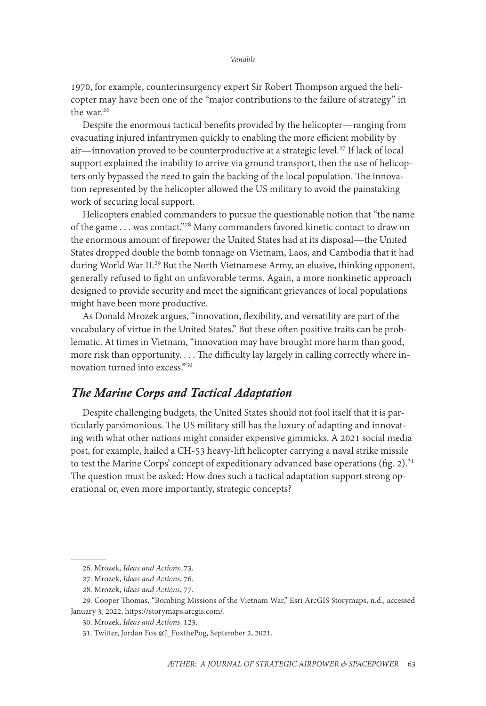1970, for example, counterinsurgency expert Sir Robert Thompson argued the helicopter may have been one of the "major contributions to the failure of strategy" in the war.<sup>26</sup>

Despite the enormous tactical benefits provided by the helicopter—ranging from evacuating injured infantrymen quickly to enabling the more efficient mobility by air—innovation proved to be counterproductive at a strategic level.<sup>27</sup> If lack of local support explained the inability to arrive via ground transport, then the use of helicopters only bypassed the need to gain the backing of the local population. The innovation represented by the helicopter allowed the US military to avoid the painstaking work of securing local support.

Helicopters enabled commanders to pursue the questionable notion that "the name of the game . . . was contact."28 Many commanders favored kinetic contact to draw on the enormous amount of firepower the United States had at its disposal—the United States dropped double the bomb tonnage on Vietnam, Laos, and Cambodia that it had during World War II.<sup>29</sup> But the North Vietnamese Army, an elusive, thinking opponent, generally refused to fight on unfavorable terms. Again, a more nonkinetic approach designed to provide security and meet the significant grievances of local populations might have been more productive.

As Donald Mrozek argues, "innovation, flexibility, and versatility are part of the vocabulary of virtue in the United States." But these often positive traits can be problematic. At times in Vietnam, "innovation may have brought more harm than good, more risk than opportunity. . . . The difficulty lay largely in calling correctly where innovation turned into excess."30

### *The Marine Corps and Tactical Adaptation*

Despite challenging budgets, the United States should not fool itself that it is particularly parsimonious. The US military still has the luxury of adapting and innovating with what other nations might consider expensive gimmicks. A 2021 social media post, for example, hailed a CH-53 heavy-lift helicopter carrying a naval strike missile to test the Marine Corps' concept of expeditionary advanced base operations (fig. 2). $31$ The question must be asked: How does such a tactical adaptation support strong operational or, even more importantly, strategic concepts?

<sup>26.</sup> Mrozek, *Ideas and Actions*, 73.

<sup>27.</sup> Mrozek, *Ideas and Actions*, 76.

<sup>28.</sup> Mrozek, *Ideas and Actions*, 77.

<sup>29.</sup> Cooper Thomas, "Bombing Missions of the Vietnam War," Esri ArcGIS Storymaps, n.d., accessed January 3, 2022, [https://storymaps.arcgis.com/](https://storymaps.arcgis.com/stories/2eae918ca40a4bd7a55390bba4735cdb).

<sup>30.</sup> Mrozek, *Ideas and Actions*, 123.

<sup>31.</sup> Twitter, Jordan Fox @J\_FoxthePog, September 2, 2021.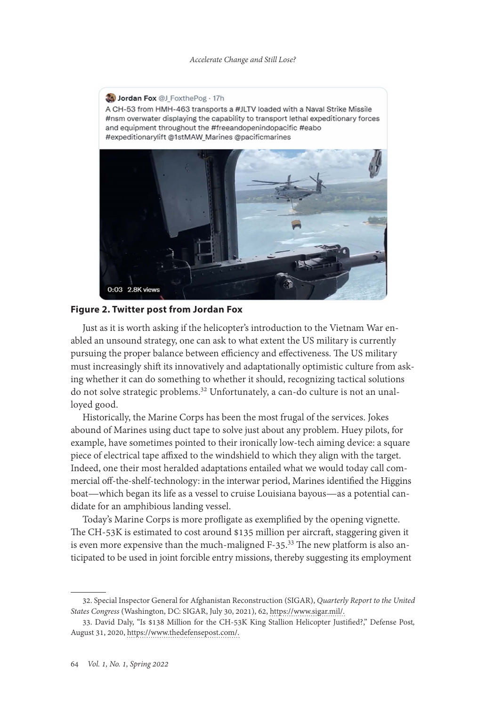

#### **Figure 2. Twitter post from Jordan Fox**

Just as it is worth asking if the helicopter's introduction to the Vietnam War enabled an unsound strategy, one can ask to what extent the US military is currently pursuing the proper balance between efficiency and effectiveness. The US military must increasingly shift its innovatively and adaptationally optimistic culture from asking whether it can do something to whether it should, recognizing tactical solutions do not solve strategic problems.32 Unfortunately, a can-do culture is not an unalloyed good.

Historically, the Marine Corps has been the most frugal of the services. Jokes abound of Marines using duct tape to solve just about any problem. Huey pilots, for example, have sometimes pointed to their ironically low-tech aiming device: a square piece of electrical tape affixed to the windshield to which they align with the target. Indeed, one their most heralded adaptations entailed what we would today call commercial off-the-shelf-technology: in the interwar period, Marines identified the Higgins boat—which began its life as a vessel to cruise Louisiana bayous—as a potential candidate for an amphibious landing vessel.

Today's Marine Corps is more profligate as exemplified by the opening vignette. The CH-53K is estimated to cost around \$135 million per aircraft, staggering given it is even more expensive than the much-maligned F-35.<sup>33</sup> The new platform is also anticipated to be used in joint forcible entry missions, thereby suggesting its employment

<sup>32.</sup> Special Inspector General for Afghanistan Reconstruction (SIGAR), *Quarterly Report to the United States Congress* (Washington, DC: SIGAR, July 30, 2021), 62, [https://www.sigar.mil/](https://www.sigar.mil/pdf/quarterlyreports/2021-07-30qr.pdf).

<sup>33.</sup> David Daly, "Is \$138 Million for the CH-53K King Stallion Helicopter Justified?," Defense Post*,*  August 31, 2020, [https://www.thedefensepost.com/](https://www.thedefensepost.com/2020/08/31/ch-53k-helicopter-price/).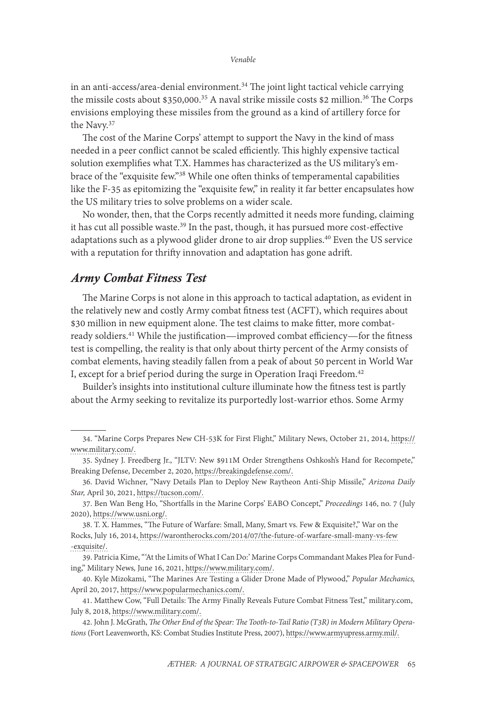in an anti-access/area-denial environment.<sup>34</sup> The joint light tactical vehicle carrying the missile costs about  $$350,000.<sup>35</sup>$  A naval strike missile costs \$2 million.<sup>36</sup> The Corps envisions employing these missiles from the ground as a kind of artillery force for the Navy.<sup>37</sup>

The cost of the Marine Corps' attempt to support the Navy in the kind of mass needed in a peer conflict cannot be scaled efficiently. This highly expensive tactical solution exemplifies what T.X. Hammes has characterized as the US military's embrace of the "exquisite few."38 While one often thinks of temperamental capabilities like the F-35 as epitomizing the "exquisite few," in reality it far better encapsulates how the US military tries to solve problems on a wider scale.

No wonder, then, that the Corps recently admitted it needs more funding, claiming it has cut all possible waste.39 In the past, though, it has pursued more cost-effective adaptations such as a plywood glider drone to air drop supplies.40 Even the US service with a reputation for thrifty innovation and adaptation has gone adrift.

### *Army Combat Fitness Test*

The Marine Corps is not alone in this approach to tactical adaptation, as evident in the relatively new and costly Army combat fitness test (ACFT), which requires about \$30 million in new equipment alone. The test claims to make fitter, more combatready soldiers.<sup>41</sup> While the justification—improved combat efficiency—for the fitness test is compelling, the reality is that only about thirty percent of the Army consists of combat elements, having steadily fallen from a peak of about 50 percent in World War I, except for a brief period during the surge in Operation Iraqi Freedom.<sup>42</sup>

Builder's insights into institutional culture illuminate how the fitness test is partly about the Army seeking to revitalize its purportedly lost-warrior ethos. Some Army

<sup>34. &</sup>quot;Marine Corps Prepares New CH-53K for First Flight," Military News, October 21, 2014, [https://](https://www.military.com/defensetech/2014/10/21/marine-corps-prepares-new-ch-53k-for-first-flight) [www.military.com/](https://www.military.com/defensetech/2014/10/21/marine-corps-prepares-new-ch-53k-for-first-flight).

<sup>35.</sup> Sydney J. Freedberg Jr., "JLTV: New \$911M Order Strengthens Oshkosh's Hand for Recompete," Breaking Defense, December 2, 2020, [https://breakingdefense.com/.](https://breakingdefense.com/2020/12/jltv-new-911m-order-strengthens-oshkoshs-hand-for-recompete/)

<sup>36.</sup> David Wichner, "Navy Details Plan to Deploy New Raytheon Anti-Ship Missile," *Arizona Daily Star,* April 30, 2021, https://tucson.com/.

<sup>37.</sup> Ben Wan Beng Ho, "Shortfalls in the Marine Corps' EABO Concept," *Proceedings* 146, no. 7 (July 2020), [https://www.usni.org/](https://www.usni.org/magazines/proceedings/2020/july/shortfalls-marine-corps-eabo-concept).

<sup>38.</sup> T. X. Hammes, "The Future of Warfare: Small, Many, Smart vs. Few & Exquisite?," War on the Rocks, July 16, 2014, https://warontherocks.com/2014/07/the-future-of-warfare-small-many-vs-few -exquisite/.

<sup>39.</sup> Patricia Kime, " 'At the Limits of What I Can Do:' Marine Corps Commandant Makes Plea for Funding," Military News*,* June 16, 2021, [https://www.military.com/.](https://www.military.com/daily-news/2021/06/16/limits-of-what-i-can-do-marine-corps-commandant-makes-plea-funding.html)

<sup>40.</sup> Kyle Mizokami, "The Marines Are Testing a Glider Drone Made of Plywood," *Popular Mechanics,*  April 20, 2017, [https://www.popularmechanics.com/](https://www.popularmechanics.com/military/aviation/a26150/marines-testing-plywood-drone/).

<sup>41.</sup> Matthew Cow, "Full Details: The Army Finally Reveals Future Combat Fitness Test," military.com, July 8, 2018, https://www.military.com/.

<sup>42.</sup> John J. McGrath, *The Other End of the Spear: The Tooth-to-Tail Ratio (T3R) in Modern Military Operations* (Fort Leavenworth, KS: Combat Studies Institute Press, 2007), [https://www.armyupress.army.mil/.](https://www.armyupress.army.mil/portals/7/combat-studies-institute/csi-books/mcgrath_op23.pdf)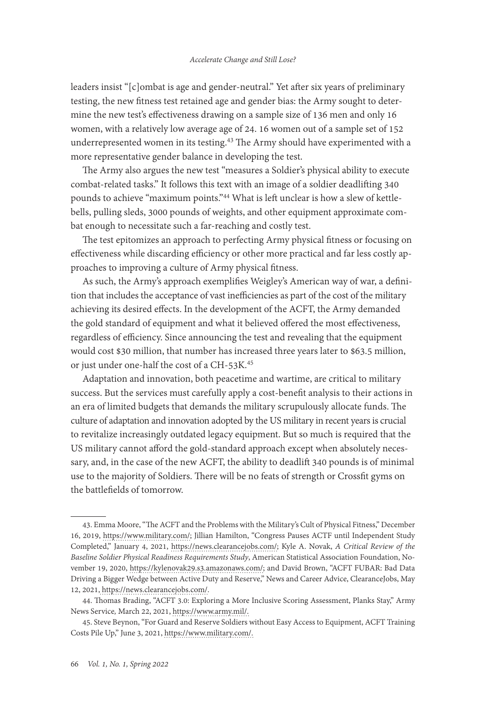leaders insist "[c]ombat is age and gender-neutral." Yet after six years of preliminary testing, the new fitness test retained age and gender bias: the Army sought to determine the new test's effectiveness drawing on a sample size of 136 men and only 16 women, with a relatively low average age of 24. 16 women out of a sample set of 152 underrepresented women in its testing.<sup>43</sup> The Army should have experimented with a more representative gender balance in developing the test.

The Army also argues the new test "measures a Soldier's physical ability to execute combat-related tasks." It follows this text with an image of a soldier deadlifting 340 pounds to achieve "maximum points."44 What is left unclear is how a slew of kettlebells, pulling sleds, 3000 pounds of weights, and other equipment approximate combat enough to necessitate such a far-reaching and costly test.

The test epitomizes an approach to perfecting Army physical fitness or focusing on effectiveness while discarding efficiency or other more practical and far less costly approaches to improving a culture of Army physical fitness.

As such, the Army's approach exemplifies Weigley's American way of war, a definition that includes the acceptance of vast inefficiencies as part of the cost of the military achieving its desired effects. In the development of the ACFT, the Army demanded the gold standard of equipment and what it believed offered the most effectiveness, regardless of efficiency. Since announcing the test and revealing that the equipment would cost \$30 million, that number has increased three years later to \$63.5 million, or just under one-half the cost of a CH-53K.45

Adaptation and innovation, both peacetime and wartime, are critical to military success. But the services must carefully apply a cost-benefit analysis to their actions in an era of limited budgets that demands the military scrupulously allocate funds. The culture of adaptation and innovation adopted by the US military in recent years is crucial to revitalize increasingly outdated legacy equipment. But so much is required that the US military cannot afford the gold-standard approach except when absolutely necessary, and, in the case of the new ACFT, the ability to deadlift 340 pounds is of minimal use to the majority of Soldiers. There will be no feats of strength or Crossfit gyms on the battlefields of tomorrow.

<sup>43.</sup> Emma Moore, "The ACFT and the Problems with the Military's Cult of Physical Fitness," December 16, 2019, [https://www.military.com/;](https://www.military.com/daily-news/2019/12/16/acft-and-problems-militarys-cult-physical-fitness.html) Jillian Hamilton, "Congress Pauses ACTF until Independent Study Completed," January 4, 2021, [https://news.clearancejobs.com/](https://news.clearancejobs.com/2021/01/04/congress-pauses-acft-until-independent-study-completed/); Kyle A. Novak, *A Critical Review of the Baseline Soldier Physical Readiness Requirements Study*, American Statistical Association Foundation, November 19, 2020, <https://kylenovak29.s3.amazonaws.com/>; and David Brown, "ACFT FUBAR: Bad Data Driving a Bigger Wedge between Active Duty and Reserve," News and Career Advice, ClearanceJobs, May 12, 2021, [https://news.clearancejobs.com/.](https://news.clearancejobs.com/2021/05/12/acft-fubar-bad-data-driving-a-bigger-wedge-between-active-duty-and-reserves/)

<sup>44.</sup> Thomas Brading, "ACFT 3.0: Exploring a More Inclusive Scoring Assessment, Planks Stay," Army News Service*,* March 22, 2021, [https://www.army.mil/.](https://www.army.mil/article/244220/acft_3_0_exploring_a_more_inclusive_scoring_assessment_planks_stay)

<sup>45.</sup> Steve Beynon, "For Guard and Reserve Soldiers without Easy Access to Equipment, ACFT Training Costs Pile Up," June 3, 2021, [https://www.military.com/](https://www.military.com/daily-news/2021/06/03/guard-and-reserve-soldiers-without-easy-access-equipment-acft-training-costs-pile.html).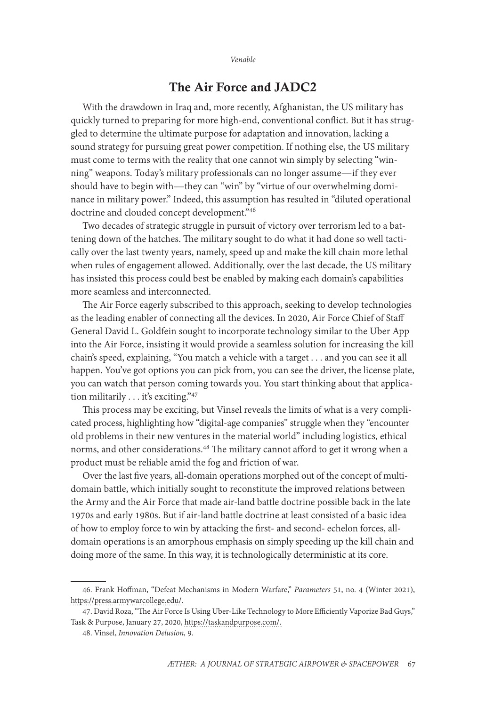### The Air Force and JADC2

With the drawdown in Iraq and, more recently, Afghanistan, the US military has quickly turned to preparing for more high-end, conventional conflict. But it has struggled to determine the ultimate purpose for adaptation and innovation, lacking a sound strategy for pursuing great power competition. If nothing else, the US military must come to terms with the reality that one cannot win simply by selecting "winning" weapons. Today's military professionals can no longer assume—if they ever should have to begin with—they can "win" by "virtue of our overwhelming dominance in military power." Indeed, this assumption has resulted in "diluted operational doctrine and clouded concept development."46

Two decades of strategic struggle in pursuit of victory over terrorism led to a battening down of the hatches. The military sought to do what it had done so well tactically over the last twenty years, namely, speed up and make the kill chain more lethal when rules of engagement allowed. Additionally, over the last decade, the US military has insisted this process could best be enabled by making each domain's capabilities more seamless and interconnected.

The Air Force eagerly subscribed to this approach, seeking to develop technologies as the leading enabler of connecting all the devices. In 2020, Air Force Chief of Staff General David L. Goldfein sought to incorporate technology similar to the Uber App into the Air Force, insisting it would provide a seamless solution for increasing the kill chain's speed, explaining, "You match a vehicle with a target . . . and you can see it all happen. You've got options you can pick from, you can see the driver, the license plate, you can watch that person coming towards you. You start thinking about that application militarily . . . it's exciting."47

This process may be exciting, but Vinsel reveals the limits of what is a very complicated process, highlighting how "digital-age companies" struggle when they "encounter old problems in their new ventures in the material world" including logistics, ethical norms, and other considerations.<sup>48</sup> The military cannot afford to get it wrong when a product must be reliable amid the fog and friction of war.

Over the last five years, all-domain operations morphed out of the concept of multidomain battle, which initially sought to reconstitute the improved relations between the Army and the Air Force that made air-land battle doctrine possible back in the late 1970s and early 1980s. But if air-land battle doctrine at least consisted of a basic idea of how to employ force to win by attacking the first- and second- echelon forces, alldomain operations is an amorphous emphasis on simply speeding up the kill chain and doing more of the same. In this way, it is technologically deterministic at its core.

<sup>46.</sup> Frank Hoffman, "Defeat Mechanisms in Modern Warfare," *Parameters* 51, no. 4 (Winter 2021), [https://press.armywarcollege.edu/.](https://press.armywarcollege.edu/cgi/viewcontent.cgi?article=3091&context=parameters)

<sup>47.</sup> David Roza, "The Air Force Is Using Uber-Like Technology to More Efficiently Vaporize Bad Guys," Task & Purpose, January 27, 2020, [https://taskandpurpose.com/.](https://taskandpurpose.com/news/air-force-uber-battle-management/)

<sup>48.</sup> Vinsel, *Innovation Delusion,* 9.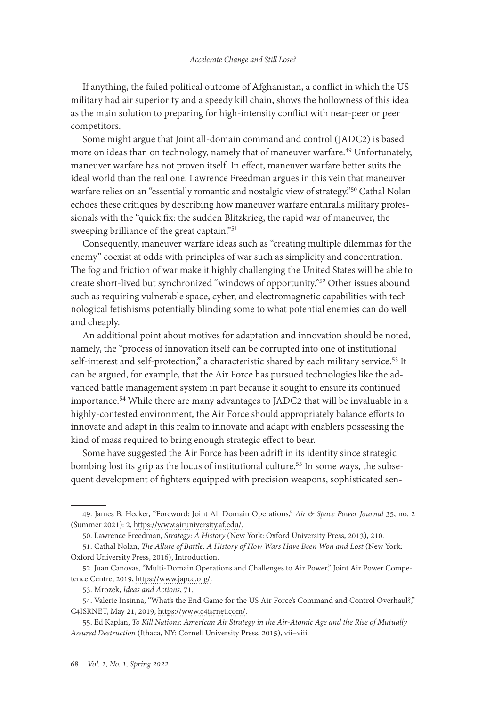If anything, the failed political outcome of Afghanistan, a conflict in which the US military had air superiority and a speedy kill chain, shows the hollowness of this idea as the main solution to preparing for high-intensity conflict with near-peer or peer competitors.

Some might argue that Joint all-domain command and control (JADC2) is based more on ideas than on technology, namely that of maneuver warfare.<sup>49</sup> Unfortunately, maneuver warfare has not proven itself. In effect, maneuver warfare better suits the ideal world than the real one. Lawrence Freedman argues in this vein that maneuver warfare relies on an "essentially romantic and nostalgic view of strategy."<sup>50</sup> Cathal Nolan echoes these critiques by describing how maneuver warfare enthralls military professionals with the "quick fix: the sudden Blitzkrieg, the rapid war of maneuver, the sweeping brilliance of the great captain."51

Consequently, maneuver warfare ideas such as "creating multiple dilemmas for the enemy" coexist at odds with principles of war such as simplicity and concentration. The fog and friction of war make it highly challenging the United States will be able to create short-lived but synchronized "windows of opportunity."52 Other issues abound such as requiring vulnerable space, cyber, and electromagnetic capabilities with technological fetishisms potentially blinding some to what potential enemies can do well and cheaply.

An additional point about motives for adaptation and innovation should be noted, namely, the "process of innovation itself can be corrupted into one of institutional self-interest and self-protection," a characteristic shared by each military service.<sup>53</sup> It can be argued, for example, that the Air Force has pursued technologies like the advanced battle management system in part because it sought to ensure its continued importance.<sup>54</sup> While there are many advantages to JADC2 that will be invaluable in a highly-contested environment, the Air Force should appropriately balance efforts to innovate and adapt in this realm to innovate and adapt with enablers possessing the kind of mass required to bring enough strategic effect to bear.

Some have suggested the Air Force has been adrift in its identity since strategic bombing lost its grip as the locus of institutional culture.<sup>55</sup> In some ways, the subsequent development of fighters equipped with precision weapons, sophisticated sen-

<sup>49.</sup> James B. Hecker, "Foreword: Joint All Domain Operations," *Air & Space Power Journal* 35, no. 2 (Summer 2021): 2, [https://www.airuniversity.af.edu/](https://www.airuniversity.af.edu/Portals/10/ASPJ/journals/Volume-35_Special_Issue/SLP-Hecker.pdf).

<sup>50.</sup> Lawrence Freedman, *Strategy: A History* (New York: Oxford University Press, 2013), 210.

<sup>51.</sup> Cathal Nolan, *The Allure of Battle: A History of How Wars Have Been Won and Lost* (New York: Oxford University Press, 2016), Introduction.

<sup>52.</sup> Juan Canovas, "Multi-Domain Operations and Challenges to Air Power," Joint Air Power Competence Centre, 2019, https://www.japcc.org/.

<sup>53.</sup> Mrozek, *Ideas and Actions*, 71.

<sup>54.</sup> Valerie Insinna, "What's the End Game for the US Air Force's Command and Control Overhaul?," C4ISRNET, May 21, 2019, [https://www.c4isrnet.com/](https://www.c4isrnet.com/air/2019/05/21/whats-the-end-game-for-the-us-air-forces-command-and-control-overhaul/).

<sup>55.</sup> Ed Kaplan, *To Kill Nations: American Air Strategy in the Air-Atomic Age and the Rise of Mutually Assured Destruction* (Ithaca, NY: Cornell University Press, 2015), vii–viii.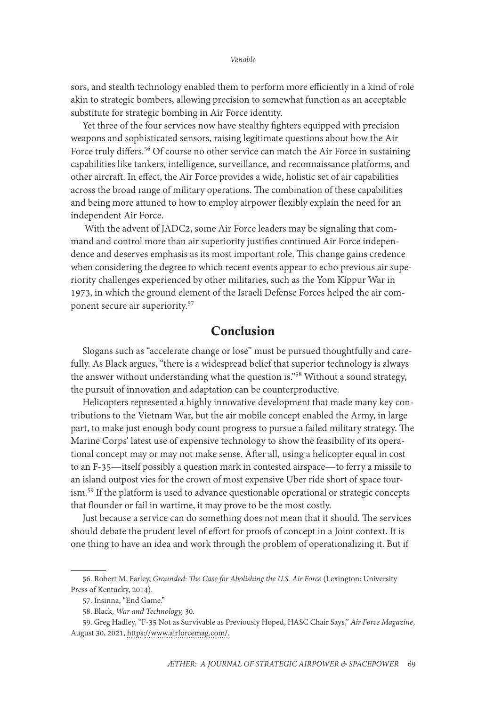sors, and stealth technology enabled them to perform more efficiently in a kind of role akin to strategic bombers, allowing precision to somewhat function as an acceptable substitute for strategic bombing in Air Force identity.

Yet three of the four services now have stealthy fighters equipped with precision weapons and sophisticated sensors, raising legitimate questions about how the Air Force truly differs.<sup>56</sup> Of course no other service can match the Air Force in sustaining capabilities like tankers, intelligence, surveillance, and reconnaissance platforms, and other aircraft. In effect, the Air Force provides a wide, holistic set of air capabilities across the broad range of military operations. The combination of these capabilities and being more attuned to how to employ airpower flexibly explain the need for an independent Air Force.

 With the advent of JADC2, some Air Force leaders may be signaling that command and control more than air superiority justifies continued Air Force independence and deserves emphasis as its most important role. This change gains credence when considering the degree to which recent events appear to echo previous air superiority challenges experienced by other militaries, such as the Yom Kippur War in 1973, in which the ground element of the Israeli Defense Forces helped the air component secure air superiority.57

### Conclusion

Slogans such as "accelerate change or lose" must be pursued thoughtfully and carefully. As Black argues, "there is a widespread belief that superior technology is always the answer without understanding what the question is."<sup>58</sup> Without a sound strategy, the pursuit of innovation and adaptation can be counterproductive.

Helicopters represented a highly innovative development that made many key contributions to the Vietnam War, but the air mobile concept enabled the Army, in large part, to make just enough body count progress to pursue a failed military strategy. The Marine Corps' latest use of expensive technology to show the feasibility of its operational concept may or may not make sense. After all, using a helicopter equal in cost to an F-35—itself possibly a question mark in contested airspace—to ferry a missile to an island outpost vies for the crown of most expensive Uber ride short of space tourism.59 If the platform is used to advance questionable operational or strategic concepts that flounder or fail in wartime, it may prove to be the most costly.

Just because a service can do something does not mean that it should. The services should debate the prudent level of effort for proofs of concept in a Joint context. It is one thing to have an idea and work through the problem of operationalizing it. But if

<sup>56.</sup> Robert M. Farley, *Grounded: The Case for Abolishing the U.S. Air Force* (Lexington: University Press of Kentucky, 2014).

<sup>57.</sup> Insinna, "End Game."

<sup>58.</sup> Black, *War and Technology,* 30.

<sup>59.</sup> Greg Hadley, "F-35 Not as Survivable as Previously Hoped, HASC Chair Says," *Air Force Magazine*, August 30, 2021, [https://www.airforcemag.com/](https://www.airforcemag.com/f-35-not-as-survivable-as-hoped-hasc-chair-says/?fbclid=IwAR15zsw8aKBC8crdW3ugg_rfXDkBoYMDWsnhBEq2xpb9nBIpX0cra3ZaliE).